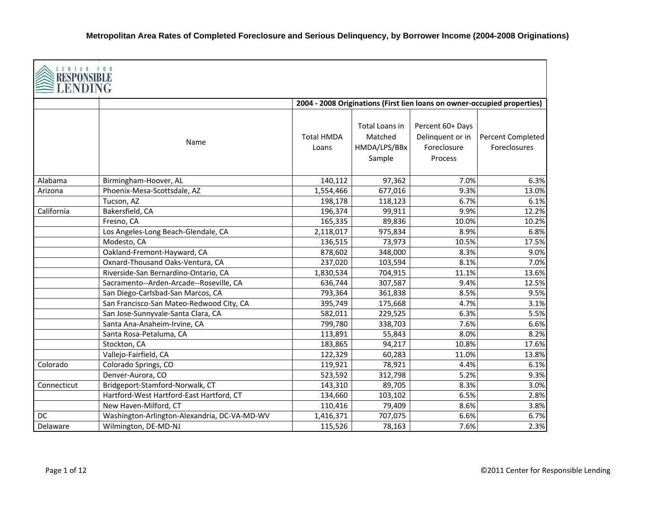| CENTER FOR<br>RESPONSI<br>LENDING |                                              |                            |                                                     |                                                                          |                                   |
|-----------------------------------|----------------------------------------------|----------------------------|-----------------------------------------------------|--------------------------------------------------------------------------|-----------------------------------|
|                                   |                                              |                            |                                                     | 2004 - 2008 Originations (First lien loans on owner-occupied properties) |                                   |
|                                   | Name                                         | <b>Total HMDA</b><br>Loans | Total Loans in<br>Matched<br>HMDA/LPS/BBx<br>Sample | Percent 60+ Days<br>Delinquent or in<br>Foreclosure<br>Process           | Percent Completed<br>Foreclosures |
| Alabama                           | Birmingham-Hoover, AL                        | 140,112                    | 97,362                                              | 7.0%                                                                     | 6.3%                              |
| Arizona                           | Phoenix-Mesa-Scottsdale, AZ                  | 1,554,466                  | 677,016                                             | 9.3%                                                                     | 13.0%                             |
|                                   | Tucson, AZ                                   | 198,178                    | 118,123                                             | 6.7%                                                                     | 6.1%                              |
| California                        | Bakersfield, CA                              | 196,374                    | 99,911                                              | 9.9%                                                                     | 12.2%                             |
|                                   | Fresno, CA                                   | 165,335                    | 89,836                                              | 10.0%                                                                    | 10.2%                             |
|                                   | Los Angeles-Long Beach-Glendale, CA          | 2,118,017                  | 975,834                                             | 8.9%                                                                     | 6.8%                              |
|                                   | Modesto, CA                                  | 136,515                    | 73,973                                              | 10.5%                                                                    | 17.5%                             |
|                                   | Oakland-Fremont-Hayward, CA                  | 878,602                    | 348,000                                             | 8.3%                                                                     | 9.0%                              |
|                                   | Oxnard-Thousand Oaks-Ventura, CA             | 237,020                    | 103,594                                             | 8.1%                                                                     | 7.0%                              |
|                                   | Riverside-San Bernardino-Ontario, CA         | 1,830,534                  | 704,915                                             | 11.1%                                                                    | 13.6%                             |
|                                   | Sacramento--Arden-Arcade--Roseville, CA      | 636,744                    | 307,587                                             | 9.4%                                                                     | 12.5%                             |
|                                   | San Diego-Carlsbad-San Marcos, CA            | 793,364                    | 361,838                                             | 8.5%                                                                     | 9.5%                              |
|                                   | San Francisco-San Mateo-Redwood City, CA     | 395,749                    | 175,668                                             | 4.7%                                                                     | 3.1%                              |
|                                   | San Jose-Sunnyvale-Santa Clara, CA           | 582,011                    | 229,525                                             | 6.3%                                                                     | 5.5%                              |
|                                   | Santa Ana-Anaheim-Irvine, CA                 | 799,780                    | 338,703                                             | 7.6%                                                                     | 6.6%                              |
|                                   | Santa Rosa-Petaluma, CA                      | 113,891                    | 55,843                                              | 8.0%                                                                     | 8.2%                              |
|                                   | Stockton, CA                                 | 183,865                    | 94,217                                              | 10.8%                                                                    | 17.6%                             |
|                                   | Vallejo-Fairfield, CA                        | 122,329                    | 60,283                                              | 11.0%                                                                    | 13.8%                             |
| Colorado                          | Colorado Springs, CO                         | 119,921                    | 78,921                                              | 4.4%                                                                     | 6.1%                              |
|                                   | Denver-Aurora, CO                            | 523,592                    | 312,798                                             | 5.2%                                                                     | 9.3%                              |
| Connecticut                       | Bridgeport-Stamford-Norwalk, CT              | 143,310                    | 89,705                                              | 8.3%                                                                     | 3.0%                              |
|                                   | Hartford-West Hartford-East Hartford, CT     | 134,660                    | 103,102                                             | 6.5%                                                                     | 2.8%                              |
|                                   | New Haven-Milford, CT                        | 110,416                    | 79,409                                              | 8.6%                                                                     | 3.8%                              |
| DC                                | Washington-Arlington-Alexandria, DC-VA-MD-WV | 1,416,371                  | 707,075                                             | 6.6%                                                                     | 6.7%                              |
| Delaware                          | Wilmington, DE-MD-NJ                         | 115,526                    | 78,163                                              | 7.6%                                                                     | 2.3%                              |

Г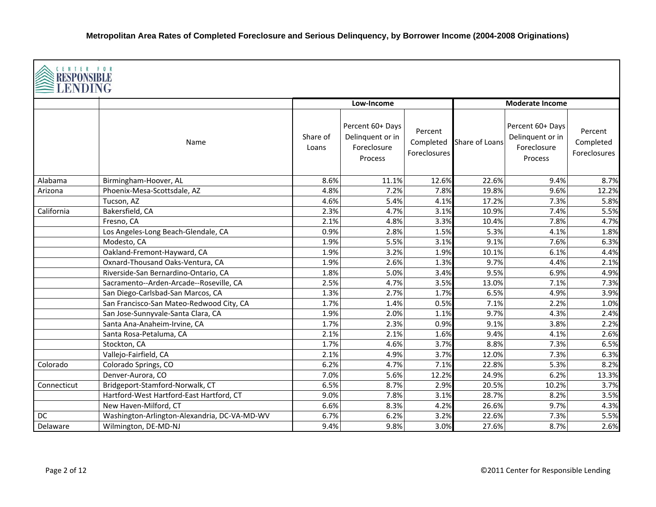|             | <b>CENTER FOR</b><br>RESPONSIBLI<br>LENDING  |                   |                                                                |                                      |                |                                                                |                                      |  |  |  |
|-------------|----------------------------------------------|-------------------|----------------------------------------------------------------|--------------------------------------|----------------|----------------------------------------------------------------|--------------------------------------|--|--|--|
|             |                                              |                   | Low-Income                                                     |                                      |                | <b>Moderate Income</b>                                         |                                      |  |  |  |
|             | Name                                         | Share of<br>Loans | Percent 60+ Days<br>Delinquent or in<br>Foreclosure<br>Process | Percent<br>Completed<br>Foreclosures | Share of Loans | Percent 60+ Days<br>Delinquent or in<br>Foreclosure<br>Process | Percent<br>Completed<br>Foreclosures |  |  |  |
| Alabama     | Birmingham-Hoover, AL                        | 8.6%              | 11.1%                                                          | 12.6%                                | 22.6%          | 9.4%                                                           | 8.7%                                 |  |  |  |
| Arizona     | Phoenix-Mesa-Scottsdale, AZ                  | 4.8%              | 7.2%                                                           | 7.8%                                 | 19.8%          | 9.6%                                                           | 12.2%                                |  |  |  |
|             | Tucson, AZ                                   | 4.6%              | 5.4%                                                           | 4.1%                                 | 17.2%          | 7.3%                                                           | 5.8%                                 |  |  |  |
| California  | Bakersfield, CA                              | 2.3%              | 4.7%                                                           | 3.1%                                 | 10.9%          | 7.4%                                                           | 5.5%                                 |  |  |  |
|             | Fresno, CA                                   | 2.1%              | 4.8%                                                           | 3.3%                                 | 10.4%          | 7.8%                                                           | 4.7%                                 |  |  |  |
|             | Los Angeles-Long Beach-Glendale, CA          | 0.9%              | 2.8%                                                           | 1.5%                                 | 5.3%           | 4.1%                                                           | 1.8%                                 |  |  |  |
|             | Modesto, CA                                  | 1.9%              | 5.5%                                                           | 3.1%                                 | 9.1%           | 7.6%                                                           | 6.3%                                 |  |  |  |
|             | Oakland-Fremont-Hayward, CA                  | 1.9%              | 3.2%                                                           | 1.9%                                 | 10.1%          | 6.1%                                                           | 4.4%                                 |  |  |  |
|             | Oxnard-Thousand Oaks-Ventura, CA             | 1.9%              | 2.6%                                                           | 1.3%                                 | 9.7%           | 4.4%                                                           | 2.1%                                 |  |  |  |
|             | Riverside-San Bernardino-Ontario, CA         | 1.8%              | 5.0%                                                           | 3.4%                                 | 9.5%           | 6.9%                                                           | 4.9%                                 |  |  |  |
|             | Sacramento--Arden-Arcade--Roseville, CA      | 2.5%              | 4.7%                                                           | 3.5%                                 | 13.0%          | 7.1%                                                           | 7.3%                                 |  |  |  |
|             | San Diego-Carlsbad-San Marcos, CA            | 1.3%              | 2.7%                                                           | 1.7%                                 | 6.5%           | 4.9%                                                           | 3.9%                                 |  |  |  |
|             | San Francisco-San Mateo-Redwood City, CA     | 1.7%              | 1.4%                                                           | 0.5%                                 | 7.1%           | 2.2%                                                           | 1.0%                                 |  |  |  |
|             | San Jose-Sunnyvale-Santa Clara, CA           | 1.9%              | 2.0%                                                           | 1.1%                                 | 9.7%           | 4.3%                                                           | 2.4%                                 |  |  |  |
|             | Santa Ana-Anaheim-Irvine, CA                 | 1.7%              | 2.3%                                                           | 0.9%                                 | 9.1%           | 3.8%                                                           | 2.2%                                 |  |  |  |
|             | Santa Rosa-Petaluma, CA                      | 2.1%              | 2.1%                                                           | 1.6%                                 | 9.4%           | 4.1%                                                           | 2.6%                                 |  |  |  |
|             | Stockton, CA                                 | 1.7%              | 4.6%                                                           | 3.7%                                 | 8.8%           | 7.3%                                                           | 6.5%                                 |  |  |  |
|             | Vallejo-Fairfield, CA                        | 2.1%              | 4.9%                                                           | 3.7%                                 | 12.0%          | 7.3%                                                           | 6.3%                                 |  |  |  |
| Colorado    | Colorado Springs, CO                         | 6.2%              | 4.7%                                                           | 7.1%                                 | 22.8%          | 5.3%                                                           | 8.2%                                 |  |  |  |
|             | Denver-Aurora, CO                            | 7.0%              | 5.6%                                                           | 12.2%                                | 24.9%          | 6.2%                                                           | 13.3%                                |  |  |  |
| Connecticut | Bridgeport-Stamford-Norwalk, CT              | 6.5%              | 8.7%                                                           | 2.9%                                 | 20.5%          | 10.2%                                                          | 3.7%                                 |  |  |  |
|             | Hartford-West Hartford-East Hartford, CT     | 9.0%              | 7.8%                                                           | 3.1%                                 | 28.7%          | 8.2%                                                           | 3.5%                                 |  |  |  |
|             | New Haven-Milford, CT                        | 6.6%              | 8.3%                                                           | 4.2%                                 | 26.6%          | 9.7%                                                           | 4.3%                                 |  |  |  |
| DC          | Washington-Arlington-Alexandria, DC-VA-MD-WV | 6.7%              | 6.2%                                                           | 3.2%                                 | 22.6%          | 7.3%                                                           | 5.5%                                 |  |  |  |
| Delaware    | Wilmington, DE-MD-NJ                         | 9.4%              | 9.8%                                                           | 3.0%                                 | 27.6%          | 8.7%                                                           | 2.6%                                 |  |  |  |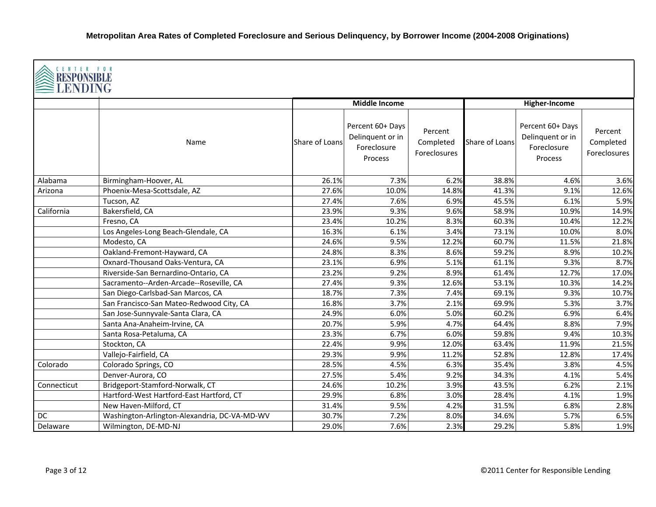| CENTER FOR<br><b>RESPONSIBLE</b><br><b>≧LENDING</b> |                                              |                |                                                                |                                      |                |                                                                |                                      |  |  |
|-----------------------------------------------------|----------------------------------------------|----------------|----------------------------------------------------------------|--------------------------------------|----------------|----------------------------------------------------------------|--------------------------------------|--|--|
|                                                     |                                              |                | <b>Middle Income</b>                                           |                                      |                | Higher-Income                                                  |                                      |  |  |
|                                                     | Name                                         | Share of Loans | Percent 60+ Days<br>Delinquent or in<br>Foreclosure<br>Process | Percent<br>Completed<br>Foreclosures | Share of Loans | Percent 60+ Days<br>Delinquent or in<br>Foreclosure<br>Process | Percent<br>Completed<br>Foreclosures |  |  |
| Alabama                                             | Birmingham-Hoover, AL                        | 26.1%          | 7.3%                                                           | 6.2%                                 | 38.8%          | 4.6%                                                           | 3.6%                                 |  |  |
| Arizona                                             | Phoenix-Mesa-Scottsdale, AZ                  | 27.6%          | 10.0%                                                          | 14.8%                                | 41.3%          | 9.1%                                                           | 12.6%                                |  |  |
|                                                     | Tucson, AZ                                   | 27.4%          | 7.6%                                                           | 6.9%                                 | 45.5%          | 6.1%                                                           | 5.9%                                 |  |  |
| California                                          | Bakersfield, CA                              | 23.9%          | 9.3%                                                           | 9.6%                                 | 58.9%          | 10.9%                                                          | 14.9%                                |  |  |
|                                                     | Fresno, CA                                   | 23.4%          | 10.2%                                                          | 8.3%                                 | 60.3%          | 10.4%                                                          | 12.2%                                |  |  |
|                                                     | Los Angeles-Long Beach-Glendale, CA          | 16.3%          | 6.1%                                                           | 3.4%                                 | 73.1%          | 10.0%                                                          | 8.0%                                 |  |  |
|                                                     | Modesto, CA                                  | 24.6%          | 9.5%                                                           | 12.2%                                | 60.7%          | 11.5%                                                          | 21.8%                                |  |  |
|                                                     | Oakland-Fremont-Hayward, CA                  | 24.8%          | 8.3%                                                           | 8.6%                                 | 59.2%          | 8.9%                                                           | 10.2%                                |  |  |
|                                                     | Oxnard-Thousand Oaks-Ventura, CA             | 23.1%          | 6.9%                                                           | 5.1%                                 | 61.1%          | 9.3%                                                           | 8.7%                                 |  |  |
|                                                     | Riverside-San Bernardino-Ontario, CA         | 23.2%          | 9.2%                                                           | 8.9%                                 | 61.4%          | 12.7%                                                          | 17.0%                                |  |  |
|                                                     | Sacramento--Arden-Arcade--Roseville, CA      | 27.4%          | 9.3%                                                           | 12.6%                                | 53.1%          | 10.3%                                                          | 14.2%                                |  |  |
|                                                     | San Diego-Carlsbad-San Marcos, CA            | 18.7%          | 7.3%                                                           | 7.4%                                 | 69.1%          | 9.3%                                                           | 10.7%                                |  |  |
|                                                     | San Francisco-San Mateo-Redwood City, CA     | 16.8%          | 3.7%                                                           | 2.1%                                 | 69.9%          | 5.3%                                                           | 3.7%                                 |  |  |
|                                                     | San Jose-Sunnyvale-Santa Clara, CA           | 24.9%          | 6.0%                                                           | 5.0%                                 | 60.2%          | 6.9%                                                           | 6.4%                                 |  |  |
|                                                     | Santa Ana-Anaheim-Irvine, CA                 | 20.7%          | 5.9%                                                           | 4.7%                                 | 64.4%          | 8.8%                                                           | 7.9%                                 |  |  |
|                                                     | Santa Rosa-Petaluma, CA                      | 23.3%          | 6.7%                                                           | 6.0%                                 | 59.8%          | 9.4%                                                           | 10.3%                                |  |  |
|                                                     | Stockton, CA                                 | 22.4%          | 9.9%                                                           | 12.0%                                | 63.4%          | 11.9%                                                          | 21.5%                                |  |  |
|                                                     | Vallejo-Fairfield, CA                        | 29.3%          | 9.9%                                                           | 11.2%                                | 52.8%          | 12.8%                                                          | 17.4%                                |  |  |
| Colorado                                            | Colorado Springs, CO                         | 28.5%          | 4.5%                                                           | 6.3%                                 | 35.4%          | 3.8%                                                           | 4.5%                                 |  |  |
|                                                     | Denver-Aurora, CO                            | 27.5%          | 5.4%                                                           | 9.2%                                 | 34.3%          | 4.1%                                                           | 5.4%                                 |  |  |
| Connecticut                                         | Bridgeport-Stamford-Norwalk, CT              | 24.6%          | 10.2%                                                          | 3.9%                                 | 43.5%          | 6.2%                                                           | 2.1%                                 |  |  |
|                                                     | Hartford-West Hartford-East Hartford, CT     | 29.9%          | 6.8%                                                           | 3.0%                                 | 28.4%          | 4.1%                                                           | 1.9%                                 |  |  |
|                                                     | New Haven-Milford, CT                        | 31.4%          | 9.5%                                                           | 4.2%                                 | 31.5%          | 6.8%                                                           | 2.8%                                 |  |  |
| DC                                                  | Washington-Arlington-Alexandria, DC-VA-MD-WV | 30.7%          | 7.2%                                                           | 8.0%                                 | 34.6%          | 5.7%                                                           | 6.5%                                 |  |  |
| Delaware                                            | Wilmington, DE-MD-NJ                         | 29.0%          | 7.6%                                                           | 2.3%                                 | 29.2%          | 5.8%                                                           | 1.9%                                 |  |  |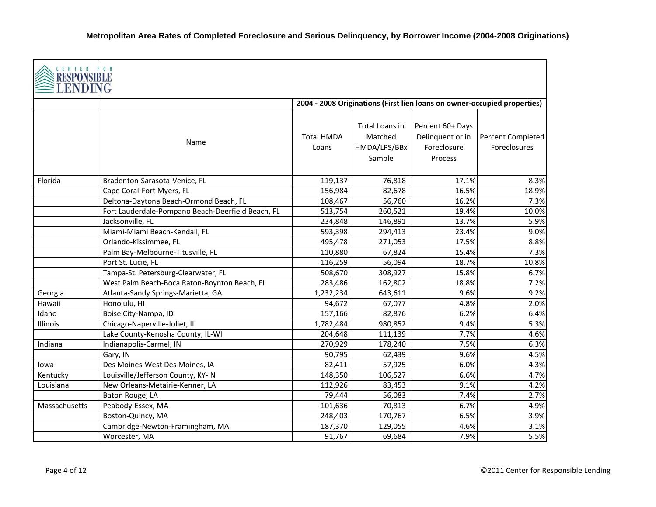| <b>CENTER FOR</b><br>RESPONS<br><b>LENDING</b> |                                                   |                            |                                                     |                                                                          |                                   |
|------------------------------------------------|---------------------------------------------------|----------------------------|-----------------------------------------------------|--------------------------------------------------------------------------|-----------------------------------|
|                                                |                                                   |                            |                                                     | 2004 - 2008 Originations (First lien loans on owner-occupied properties) |                                   |
|                                                | Name                                              | <b>Total HMDA</b><br>Loans | Total Loans in<br>Matched<br>HMDA/LPS/BBx<br>Sample | Percent 60+ Days<br>Delinquent or in<br>Foreclosure<br>Process           | Percent Completed<br>Foreclosures |
| Florida                                        | Bradenton-Sarasota-Venice, FL                     | 119,137                    | 76,818                                              | 17.1%                                                                    | 8.3%                              |
|                                                | Cape Coral-Fort Myers, FL                         | 156,984                    | 82,678                                              | 16.5%                                                                    | 18.9%                             |
|                                                | Deltona-Daytona Beach-Ormond Beach, FL            | 108,467                    | 56,760                                              | 16.2%                                                                    | 7.3%                              |
|                                                | Fort Lauderdale-Pompano Beach-Deerfield Beach, FL | 513,754                    | 260,521                                             | 19.4%                                                                    | 10.0%                             |
|                                                | Jacksonville, FL                                  | 234,848                    | 146,891                                             | 13.7%                                                                    | 5.9%                              |
|                                                | Miami-Miami Beach-Kendall, FL                     | 593,398                    | 294,413                                             | 23.4%                                                                    | 9.0%                              |
|                                                | Orlando-Kissimmee, FL                             | 495,478                    | 271,053                                             | 17.5%                                                                    | 8.8%                              |
|                                                | Palm Bay-Melbourne-Titusville, FL                 | 110,880                    | 67,824                                              | 15.4%                                                                    | 7.3%                              |
|                                                | Port St. Lucie, FL                                | 116,259                    | 56,094                                              | 18.7%                                                                    | 10.8%                             |
|                                                | Tampa-St. Petersburg-Clearwater, FL               | 508,670                    | 308,927                                             | 15.8%                                                                    | 6.7%                              |
|                                                | West Palm Beach-Boca Raton-Boynton Beach, FL      | 283,486                    | 162,802                                             | 18.8%                                                                    | 7.2%                              |
| Georgia                                        | Atlanta-Sandy Springs-Marietta, GA                | 1,232,234                  | 643,611                                             | 9.6%                                                                     | 9.2%                              |
| Hawaii                                         | Honolulu, HI                                      | 94,672                     | 67,077                                              | 4.8%                                                                     | 2.0%                              |
| Idaho                                          | Boise City-Nampa, ID                              | 157,166                    | 82,876                                              | 6.2%                                                                     | 6.4%                              |
| Illinois                                       | Chicago-Naperville-Joliet, IL                     | 1,782,484                  | 980,852                                             | 9.4%                                                                     | 5.3%                              |
|                                                | Lake County-Kenosha County, IL-WI                 | 204,648                    | 111,139                                             | 7.7%                                                                     | 4.6%                              |
| Indiana                                        | Indianapolis-Carmel, IN                           | 270,929                    | 178,240                                             | 7.5%                                                                     | 6.3%                              |
|                                                | Gary, IN                                          | 90,795                     | 62,439                                              | 9.6%                                                                     | 4.5%                              |
| lowa                                           | Des Moines-West Des Moines, IA                    | 82,411                     | 57,925                                              | 6.0%                                                                     | 4.3%                              |
| Kentucky                                       | Louisville/Jefferson County, KY-IN                | 148,350                    | 106,527                                             | 6.6%                                                                     | 4.7%                              |
| Louisiana                                      | New Orleans-Metairie-Kenner, LA                   | 112,926                    | 83,453                                              | 9.1%                                                                     | 4.2%                              |
|                                                | Baton Rouge, LA                                   | 79,444                     | 56,083                                              | 7.4%                                                                     | 2.7%                              |
| Massachusetts                                  | Peabody-Essex, MA                                 | 101,636                    | 70,813                                              | 6.7%                                                                     | 4.9%                              |
|                                                | Boston-Quincy, MA                                 | 248,403                    | 170,767                                             | 6.5%                                                                     | 3.9%                              |
|                                                | Cambridge-Newton-Framingham, MA                   | 187,370                    | 129,055                                             | 4.6%                                                                     | 3.1%                              |
|                                                | Worcester, MA                                     | 91,767                     | 69,684                                              | 7.9%                                                                     | 5.5%                              |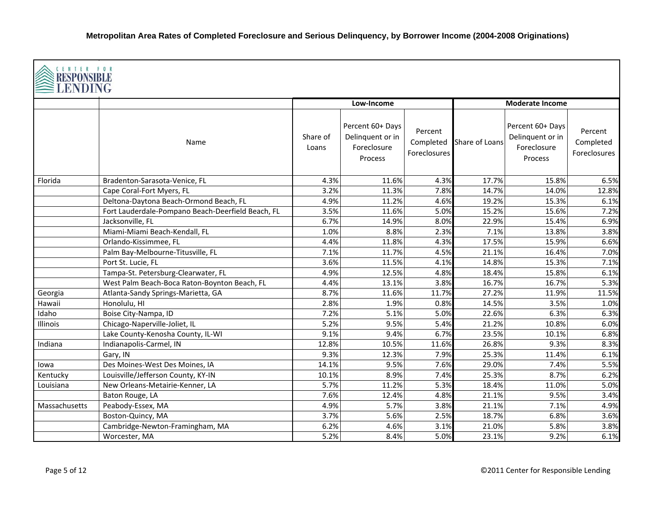|               | <b>CENTER FOR</b><br><b>RESPONSIBLI</b><br>LENDING |                   |                                                                |                                      |                |                                                                |                                             |  |  |  |
|---------------|----------------------------------------------------|-------------------|----------------------------------------------------------------|--------------------------------------|----------------|----------------------------------------------------------------|---------------------------------------------|--|--|--|
|               |                                                    |                   | Low-Income                                                     |                                      |                | <b>Moderate Income</b>                                         |                                             |  |  |  |
|               | Name                                               | Share of<br>Loans | Percent 60+ Days<br>Delinquent or in<br>Foreclosure<br>Process | Percent<br>Completed<br>Foreclosures | Share of Loans | Percent 60+ Days<br>Delinquent or in<br>Foreclosure<br>Process | Percent<br>Completed<br><b>Foreclosures</b> |  |  |  |
| Florida       | Bradenton-Sarasota-Venice, FL                      | 4.3%              | 11.6%                                                          | 4.3%                                 | 17.7%          | 15.8%                                                          | 6.5%                                        |  |  |  |
|               | Cape Coral-Fort Myers, FL                          | 3.2%              | 11.3%                                                          | 7.8%                                 | 14.7%          | 14.0%                                                          | 12.8%                                       |  |  |  |
|               | Deltona-Daytona Beach-Ormond Beach, FL             | 4.9%              | 11.2%                                                          | 4.6%                                 | 19.2%          | 15.3%                                                          | 6.1%                                        |  |  |  |
|               | Fort Lauderdale-Pompano Beach-Deerfield Beach, FL  | 3.5%              | 11.6%                                                          | 5.0%                                 | 15.2%          | 15.6%                                                          | 7.2%                                        |  |  |  |
|               | Jacksonville, FL                                   | 6.7%              | 14.9%                                                          | 8.0%                                 | 22.9%          | 15.4%                                                          | 6.9%                                        |  |  |  |
|               | Miami-Miami Beach-Kendall, FL                      | 1.0%              | 8.8%                                                           | 2.3%                                 | 7.1%           | 13.8%                                                          | 3.8%                                        |  |  |  |
|               | Orlando-Kissimmee, FL                              | 4.4%              | 11.8%                                                          | 4.3%                                 | 17.5%          | 15.9%                                                          | 6.6%                                        |  |  |  |
|               | Palm Bay-Melbourne-Titusville, FL                  | 7.1%              | 11.7%                                                          | 4.5%                                 | 21.1%          | 16.4%                                                          | 7.0%                                        |  |  |  |
|               | Port St. Lucie, FL                                 | 3.6%              | 11.5%                                                          | 4.1%                                 | 14.8%          | 15.3%                                                          | 7.1%                                        |  |  |  |
|               | Tampa-St. Petersburg-Clearwater, FL                | 4.9%              | 12.5%                                                          | 4.8%                                 | 18.4%          | 15.8%                                                          | 6.1%                                        |  |  |  |
|               | West Palm Beach-Boca Raton-Boynton Beach, FL       | 4.4%              | 13.1%                                                          | 3.8%                                 | 16.7%          | 16.7%                                                          | 5.3%                                        |  |  |  |
| Georgia       | Atlanta-Sandy Springs-Marietta, GA                 | 8.7%              | 11.6%                                                          | 11.7%                                | 27.2%          | 11.9%                                                          | 11.5%                                       |  |  |  |
| Hawaii        | Honolulu, HI                                       | 2.8%              | 1.9%                                                           | 0.8%                                 | 14.5%          | 3.5%                                                           | 1.0%                                        |  |  |  |
| Idaho         | Boise City-Nampa, ID                               | 7.2%              | 5.1%                                                           | 5.0%                                 | 22.6%          | 6.3%                                                           | 6.3%                                        |  |  |  |
| Illinois      | Chicago-Naperville-Joliet, IL                      | 5.2%              | 9.5%                                                           | 5.4%                                 | 21.2%          | 10.8%                                                          | 6.0%                                        |  |  |  |
|               | Lake County-Kenosha County, IL-WI                  | 9.1%              | 9.4%                                                           | 6.7%                                 | 23.5%          | 10.1%                                                          | 6.8%                                        |  |  |  |
| Indiana       | Indianapolis-Carmel, IN                            | 12.8%             | 10.5%                                                          | 11.6%                                | 26.8%          | 9.3%                                                           | 8.3%                                        |  |  |  |
|               | Gary, IN                                           | 9.3%              | 12.3%                                                          | 7.9%                                 | 25.3%          | 11.4%                                                          | 6.1%                                        |  |  |  |
| lowa          | Des Moines-West Des Moines, IA                     | 14.1%             | 9.5%                                                           | 7.6%                                 | 29.0%          | 7.4%                                                           | 5.5%                                        |  |  |  |
| Kentucky      | Louisville/Jefferson County, KY-IN                 | 10.1%             | 8.9%                                                           | 7.4%                                 | 25.3%          | 8.7%                                                           | 6.2%                                        |  |  |  |
| Louisiana     | New Orleans-Metairie-Kenner, LA                    | 5.7%              | 11.2%                                                          | 5.3%                                 | 18.4%          | 11.0%                                                          | 5.0%                                        |  |  |  |
|               | Baton Rouge, LA                                    | 7.6%              | 12.4%                                                          | 4.8%                                 | 21.1%          | 9.5%                                                           | 3.4%                                        |  |  |  |
| Massachusetts | Peabody-Essex, MA                                  | 4.9%              | 5.7%                                                           | 3.8%                                 | 21.1%          | 7.1%                                                           | 4.9%                                        |  |  |  |
|               | Boston-Quincy, MA                                  | 3.7%              | 5.6%                                                           | 2.5%                                 | 18.7%          | 6.8%                                                           | 3.6%                                        |  |  |  |
|               | Cambridge-Newton-Framingham, MA                    | 6.2%              | 4.6%                                                           | 3.1%                                 | 21.0%          | 5.8%                                                           | 3.8%                                        |  |  |  |
|               | Worcester, MA                                      | 5.2%              | 8.4%                                                           | 5.0%                                 | 23.1%          | 9.2%                                                           | 6.1%                                        |  |  |  |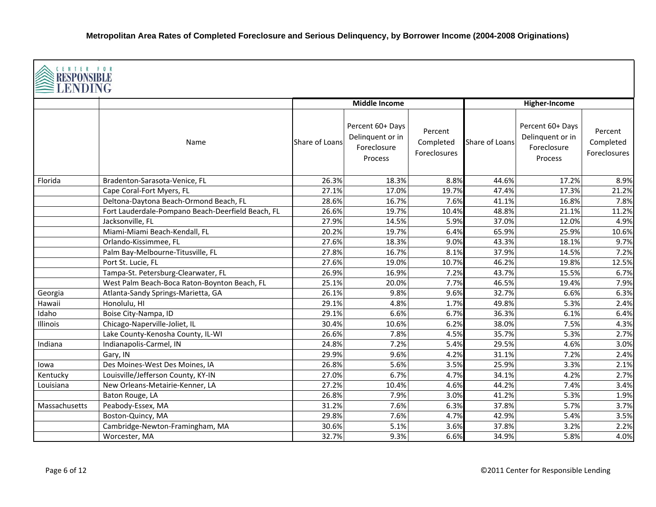|                 | <b>CENTER FOR</b><br><b>RESPONSIBLE</b><br><b>LENDING</b> |                |                                                                |                                      |                |                                                                |                                      |  |  |  |
|-----------------|-----------------------------------------------------------|----------------|----------------------------------------------------------------|--------------------------------------|----------------|----------------------------------------------------------------|--------------------------------------|--|--|--|
|                 |                                                           |                | <b>Middle Income</b>                                           |                                      |                | <b>Higher-Income</b>                                           |                                      |  |  |  |
|                 | Name                                                      | Share of Loans | Percent 60+ Days<br>Delinquent or in<br>Foreclosure<br>Process | Percent<br>Completed<br>Foreclosures | Share of Loans | Percent 60+ Days<br>Delinquent or in<br>Foreclosure<br>Process | Percent<br>Completed<br>Foreclosures |  |  |  |
| Florida         | Bradenton-Sarasota-Venice, FL                             | 26.3%          | 18.3%                                                          | 8.8%                                 | 44.6%          | 17.2%                                                          | 8.9%                                 |  |  |  |
|                 | Cape Coral-Fort Myers, FL                                 | 27.1%          | 17.0%                                                          | 19.7%                                | 47.4%          | 17.3%                                                          | 21.2%                                |  |  |  |
|                 | Deltona-Daytona Beach-Ormond Beach, FL                    | 28.6%          | 16.7%                                                          | 7.6%                                 | 41.1%          | 16.8%                                                          | 7.8%                                 |  |  |  |
|                 | Fort Lauderdale-Pompano Beach-Deerfield Beach, FL         | 26.6%          | 19.7%                                                          | 10.4%                                | 48.8%          | 21.1%                                                          | 11.2%                                |  |  |  |
|                 | Jacksonville, FL                                          | 27.9%          | 14.5%                                                          | 5.9%                                 | 37.0%          | 12.0%                                                          | 4.9%                                 |  |  |  |
|                 | Miami-Miami Beach-Kendall, FL                             | 20.2%          | 19.7%                                                          | 6.4%                                 | 65.9%          | 25.9%                                                          | 10.6%                                |  |  |  |
|                 | Orlando-Kissimmee, FL                                     | 27.6%          | 18.3%                                                          | 9.0%                                 | 43.3%          | 18.1%                                                          | 9.7%                                 |  |  |  |
|                 | Palm Bay-Melbourne-Titusville, FL                         | 27.8%          | 16.7%                                                          | 8.1%                                 | 37.9%          | 14.5%                                                          | 7.2%                                 |  |  |  |
|                 | Port St. Lucie, FL                                        | 27.6%          | 19.0%                                                          | 10.7%                                | 46.2%          | 19.8%                                                          | 12.5%                                |  |  |  |
|                 | Tampa-St. Petersburg-Clearwater, FL                       | 26.9%          | 16.9%                                                          | 7.2%                                 | 43.7%          | 15.5%                                                          | 6.7%                                 |  |  |  |
|                 | West Palm Beach-Boca Raton-Boynton Beach, FL              | 25.1%          | 20.0%                                                          | 7.7%                                 | 46.5%          | 19.4%                                                          | 7.9%                                 |  |  |  |
| Georgia         | Atlanta-Sandy Springs-Marietta, GA                        | 26.1%          | 9.8%                                                           | 9.6%                                 | 32.7%          | 6.6%                                                           | 6.3%                                 |  |  |  |
| Hawaii          | Honolulu, HI                                              | 29.1%          | 4.8%                                                           | 1.7%                                 | 49.8%          | 5.3%                                                           | 2.4%                                 |  |  |  |
| Idaho           | Boise City-Nampa, ID                                      | 29.1%          | 6.6%                                                           | 6.7%                                 | 36.3%          | 6.1%                                                           | 6.4%                                 |  |  |  |
| <b>Illinois</b> | Chicago-Naperville-Joliet, IL                             | 30.4%          | 10.6%                                                          | 6.2%                                 | 38.0%          | 7.5%                                                           | 4.3%                                 |  |  |  |
|                 | Lake County-Kenosha County, IL-WI                         | 26.6%          | 7.8%                                                           | 4.5%                                 | 35.7%          | 5.3%                                                           | 2.7%                                 |  |  |  |
| Indiana         | Indianapolis-Carmel, IN                                   | 24.8%          | 7.2%                                                           | 5.4%                                 | 29.5%          | 4.6%                                                           | 3.0%                                 |  |  |  |
|                 | Gary, IN                                                  | 29.9%          | 9.6%                                                           | 4.2%                                 | 31.1%          | 7.2%                                                           | 2.4%                                 |  |  |  |
| lowa            | Des Moines-West Des Moines, IA                            | 26.8%          | 5.6%                                                           | 3.5%                                 | 25.9%          | 3.3%                                                           | 2.1%                                 |  |  |  |
| Kentucky        | Louisville/Jefferson County, KY-IN                        | 27.0%          | 6.7%                                                           | 4.7%                                 | 34.1%          | 4.2%                                                           | 2.7%                                 |  |  |  |
| Louisiana       | New Orleans-Metairie-Kenner, LA                           | 27.2%          | 10.4%                                                          | 4.6%                                 | 44.2%          | 7.4%                                                           | 3.4%                                 |  |  |  |
|                 | Baton Rouge, LA                                           | 26.8%          | 7.9%                                                           | 3.0%                                 | 41.2%          | 5.3%                                                           | 1.9%                                 |  |  |  |
| Massachusetts   | Peabody-Essex, MA                                         | 31.2%          | 7.6%                                                           | 6.3%                                 | 37.8%          | 5.7%                                                           | 3.7%                                 |  |  |  |
|                 | Boston-Quincy, MA                                         | 29.8%          | 7.6%                                                           | 4.7%                                 | 42.9%          | 5.4%                                                           | 3.5%                                 |  |  |  |
|                 | Cambridge-Newton-Framingham, MA                           | 30.6%          | 5.1%                                                           | 3.6%                                 | 37.8%          | 3.2%                                                           | 2.2%                                 |  |  |  |
|                 | Worcester, MA                                             | 32.7%          | 9.3%                                                           | 6.6%                                 | 34.9%          | 5.8%                                                           | 4.0%                                 |  |  |  |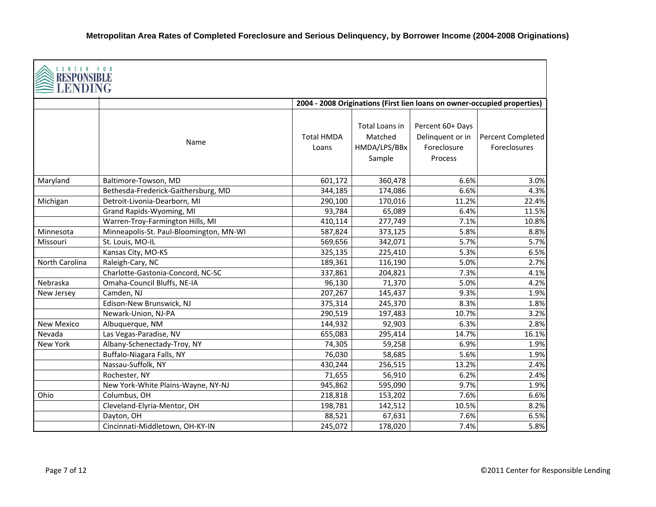| CENTER FOR<br>RESPONSI<br>ENDING |                                         |                            |                                                     |                                                                          |                                          |
|----------------------------------|-----------------------------------------|----------------------------|-----------------------------------------------------|--------------------------------------------------------------------------|------------------------------------------|
|                                  |                                         |                            |                                                     | 2004 - 2008 Originations (First lien loans on owner-occupied properties) |                                          |
|                                  | Name                                    | <b>Total HMDA</b><br>Loans | Total Loans in<br>Matched<br>HMDA/LPS/BBx<br>Sample | Percent 60+ Days<br>Delinquent or in<br>Foreclosure<br>Process           | Percent Completed<br><b>Foreclosures</b> |
| Maryland                         | Baltimore-Towson, MD                    | 601,172                    | 360,478                                             | 6.6%                                                                     | 3.0%                                     |
|                                  | Bethesda-Frederick-Gaithersburg, MD     | 344,185                    | 174,086                                             | 6.6%                                                                     | 4.3%                                     |
| Michigan                         | Detroit-Livonia-Dearborn, MI            | 290,100                    | 170,016                                             | 11.2%                                                                    | 22.4%                                    |
|                                  | Grand Rapids-Wyoming, MI                | 93,784                     | 65,089                                              | 6.4%                                                                     | 11.5%                                    |
|                                  | Warren-Troy-Farmington Hills, MI        | 410,114                    | 277,749                                             | 7.1%                                                                     | 10.8%                                    |
| Minnesota                        | Minneapolis-St. Paul-Bloomington, MN-WI | 587,824                    | 373,125                                             | 5.8%                                                                     | 8.8%                                     |
| Missouri                         | St. Louis, MO-IL                        | 569,656                    | 342,071                                             | 5.7%                                                                     | 5.7%                                     |
|                                  | Kansas City, MO-KS                      | 325,135                    | 225,410                                             | 5.3%                                                                     | 6.5%                                     |
| North Carolina                   | Raleigh-Cary, NC                        | 189,361                    | 116,190                                             | 5.0%                                                                     | 2.7%                                     |
|                                  | Charlotte-Gastonia-Concord, NC-SC       | 337,861                    | 204,821                                             | 7.3%                                                                     | 4.1%                                     |
| Nebraska                         | Omaha-Council Bluffs, NE-IA             | 96,130                     | 71,370                                              | 5.0%                                                                     | 4.2%                                     |
| New Jersey                       | Camden, NJ                              | 207,267                    | 145,437                                             | 9.3%                                                                     | 1.9%                                     |
|                                  | Edison-New Brunswick, NJ                | 375,314                    | 245,370                                             | 8.3%                                                                     | 1.8%                                     |
|                                  | Newark-Union, NJ-PA                     | 290,519                    | 197,483                                             | 10.7%                                                                    | 3.2%                                     |
| <b>New Mexico</b>                | Albuquerque, NM                         | 144,932                    | 92,903                                              | 6.3%                                                                     | 2.8%                                     |
| Nevada                           | Las Vegas-Paradise, NV                  | 655,083                    | 295,414                                             | 14.7%                                                                    | 16.1%                                    |
| New York                         | Albany-Schenectady-Troy, NY             | 74,305                     | 59,258                                              | 6.9%                                                                     | 1.9%                                     |
|                                  | Buffalo-Niagara Falls, NY               | 76,030                     | 58,685                                              | 5.6%                                                                     | 1.9%                                     |
|                                  | Nassau-Suffolk, NY                      | 430,244                    | 256,515                                             | 13.2%                                                                    | 2.4%                                     |
|                                  | Rochester, NY                           | 71,655                     | 56,910                                              | 6.2%                                                                     | 2.4%                                     |
|                                  | New York-White Plains-Wayne, NY-NJ      | 945,862                    | 595,090                                             | 9.7%                                                                     | 1.9%                                     |
| Ohio                             | Columbus, OH                            | 218,818                    | 153,202                                             | 7.6%                                                                     | 6.6%                                     |
|                                  | Cleveland-Elyria-Mentor, OH             | 198,781                    | 142,512                                             | 10.5%                                                                    | 8.2%                                     |
|                                  | Dayton, OH                              | 88,521                     | 67,631                                              | 7.6%                                                                     | 6.5%                                     |
|                                  | Cincinnati-Middletown, OH-KY-IN         | 245,072                    | 178,020                                             | 7.4%                                                                     | 5.8%                                     |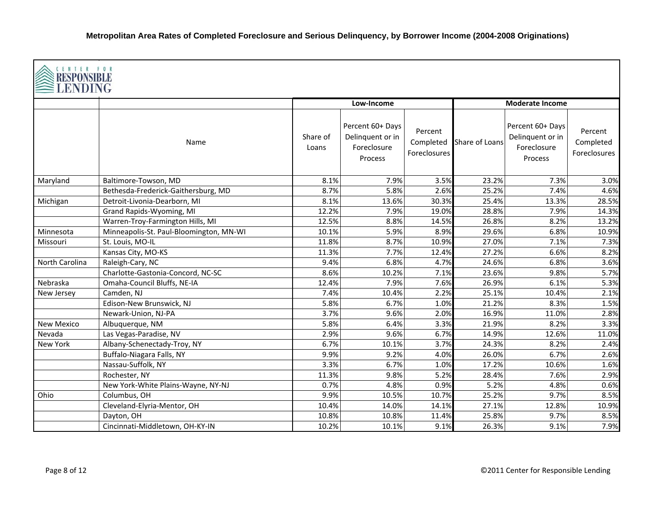| CENTER FOR<br>RESPONSIBLI<br>LENDING |                                         |                   |                                                                |                                      |                |                                                                |                                      |  |  |
|--------------------------------------|-----------------------------------------|-------------------|----------------------------------------------------------------|--------------------------------------|----------------|----------------------------------------------------------------|--------------------------------------|--|--|
|                                      |                                         |                   | Low-Income                                                     |                                      |                | <b>Moderate Income</b>                                         |                                      |  |  |
|                                      | Name                                    | Share of<br>Loans | Percent 60+ Days<br>Delinquent or in<br>Foreclosure<br>Process | Percent<br>Completed<br>Foreclosures | Share of Loans | Percent 60+ Days<br>Delinquent or in<br>Foreclosure<br>Process | Percent<br>Completed<br>Foreclosures |  |  |
| Maryland                             | Baltimore-Towson, MD                    | 8.1%              | 7.9%                                                           | 3.5%                                 | 23.2%          | 7.3%                                                           | 3.0%                                 |  |  |
|                                      | Bethesda-Frederick-Gaithersburg, MD     | 8.7%              | 5.8%                                                           | 2.6%                                 | 25.2%          | 7.4%                                                           | 4.6%                                 |  |  |
| Michigan                             | Detroit-Livonia-Dearborn, MI            | 8.1%              | 13.6%                                                          | 30.3%                                | 25.4%          | 13.3%                                                          | 28.5%                                |  |  |
|                                      | Grand Rapids-Wyoming, MI                | 12.2%             | 7.9%                                                           | 19.0%                                | 28.8%          | 7.9%                                                           | 14.3%                                |  |  |
|                                      | Warren-Troy-Farmington Hills, MI        | 12.5%             | 8.8%                                                           | 14.5%                                | 26.8%          | 8.2%                                                           | 13.2%                                |  |  |
| Minnesota                            | Minneapolis-St. Paul-Bloomington, MN-WI | 10.1%             | 5.9%                                                           | 8.9%                                 | 29.6%          | 6.8%                                                           | 10.9%                                |  |  |
| Missouri                             | St. Louis, MO-IL                        | 11.8%             | 8.7%                                                           | 10.9%                                | 27.0%          | 7.1%                                                           | 7.3%                                 |  |  |
|                                      | Kansas City, MO-KS                      | 11.3%             | 7.7%                                                           | 12.4%                                | 27.2%          | 6.6%                                                           | 8.2%                                 |  |  |
| North Carolina                       | Raleigh-Cary, NC                        | 9.4%              | 6.8%                                                           | 4.7%                                 | 24.6%          | 6.8%                                                           | 3.6%                                 |  |  |
|                                      | Charlotte-Gastonia-Concord, NC-SC       | 8.6%              | 10.2%                                                          | 7.1%                                 | 23.6%          | 9.8%                                                           | 5.7%                                 |  |  |
| Nebraska                             | Omaha-Council Bluffs, NE-IA             | 12.4%             | 7.9%                                                           | 7.6%                                 | 26.9%          | 6.1%                                                           | 5.3%                                 |  |  |
| New Jersey                           | Camden, NJ                              | 7.4%              | 10.4%                                                          | 2.2%                                 | 25.1%          | 10.4%                                                          | 2.1%                                 |  |  |
|                                      | Edison-New Brunswick, NJ                | 5.8%              | 6.7%                                                           | 1.0%                                 | 21.2%          | 8.3%                                                           | 1.5%                                 |  |  |
|                                      | Newark-Union, NJ-PA                     | 3.7%              | 9.6%                                                           | 2.0%                                 | 16.9%          | 11.0%                                                          | 2.8%                                 |  |  |
| <b>New Mexico</b>                    | Albuquerque, NM                         | 5.8%              | 6.4%                                                           | 3.3%                                 | 21.9%          | 8.2%                                                           | 3.3%                                 |  |  |
| Nevada                               | Las Vegas-Paradise, NV                  | 2.9%              | 9.6%                                                           | 6.7%                                 | 14.9%          | 12.6%                                                          | 11.0%                                |  |  |
| New York                             | Albany-Schenectady-Troy, NY             | 6.7%              | 10.1%                                                          | 3.7%                                 | 24.3%          | 8.2%                                                           | 2.4%                                 |  |  |
|                                      | Buffalo-Niagara Falls, NY               | 9.9%              | 9.2%                                                           | 4.0%                                 | 26.0%          | 6.7%                                                           | 2.6%                                 |  |  |
|                                      | Nassau-Suffolk, NY                      | 3.3%              | 6.7%                                                           | 1.0%                                 | 17.2%          | 10.6%                                                          | 1.6%                                 |  |  |
|                                      | Rochester, NY                           | 11.3%             | 9.8%                                                           | 5.2%                                 | 28.4%          | 7.6%                                                           | 2.9%                                 |  |  |
|                                      | New York-White Plains-Wayne, NY-NJ      | 0.7%              | 4.8%                                                           | 0.9%                                 | 5.2%           | 4.8%                                                           | 0.6%                                 |  |  |
| Ohio                                 | Columbus, OH                            | 9.9%              | 10.5%                                                          | 10.7%                                | 25.2%          | 9.7%                                                           | 8.5%                                 |  |  |
|                                      | Cleveland-Elyria-Mentor, OH             | 10.4%             | 14.0%                                                          | 14.1%                                | 27.1%          | 12.8%                                                          | 10.9%                                |  |  |
|                                      | Dayton, OH                              | 10.8%             | 10.8%                                                          | 11.4%                                | 25.8%          | 9.7%                                                           | 8.5%                                 |  |  |
|                                      | Cincinnati-Middletown, OH-KY-IN         | 10.2%             | 10.1%                                                          | 9.1%                                 | 26.3%          | 9.1%                                                           | 7.9%                                 |  |  |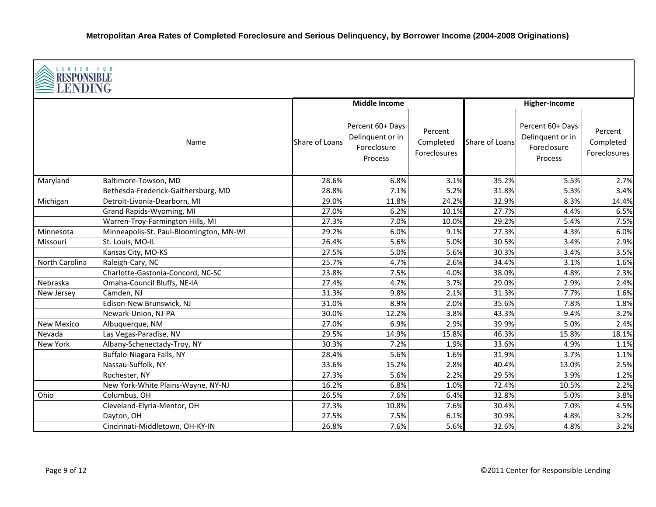| CENTER FOR<br><b>RESPONSIBLE</b><br>≧LENDING |                                         |                |                                                                |                                      |                |                                                                |                                      |
|----------------------------------------------|-----------------------------------------|----------------|----------------------------------------------------------------|--------------------------------------|----------------|----------------------------------------------------------------|--------------------------------------|
|                                              |                                         |                | <b>Middle Income</b>                                           |                                      |                | Higher-Income                                                  |                                      |
|                                              | Name                                    | Share of Loans | Percent 60+ Days<br>Delinquent or in<br>Foreclosure<br>Process | Percent<br>Completed<br>Foreclosures | Share of Loans | Percent 60+ Days<br>Delinquent or in<br>Foreclosure<br>Process | Percent<br>Completed<br>Foreclosures |
| Maryland                                     | Baltimore-Towson, MD                    | 28.6%          | 6.8%                                                           | 3.1%                                 | 35.2%          | 5.5%                                                           | 2.7%                                 |
|                                              | Bethesda-Frederick-Gaithersburg, MD     | 28.8%          | 7.1%                                                           | 5.2%                                 | 31.8%          | 5.3%                                                           | 3.4%                                 |
| Michigan                                     | Detroit-Livonia-Dearborn, MI            | 29.0%          | 11.8%                                                          | 24.2%                                | 32.9%          | 8.3%                                                           | 14.4%                                |
|                                              | Grand Rapids-Wyoming, MI                | 27.0%          | 6.2%                                                           | 10.1%                                | 27.7%          | 4.4%                                                           | 6.5%                                 |
|                                              | Warren-Troy-Farmington Hills, MI        | 27.3%          | 7.0%                                                           | 10.0%                                | 29.2%          | 5.4%                                                           | 7.5%                                 |
| Minnesota                                    | Minneapolis-St. Paul-Bloomington, MN-WI | 29.2%          | 6.0%                                                           | 9.1%                                 | 27.3%          | 4.3%                                                           | 6.0%                                 |
| Missouri                                     | St. Louis, MO-IL                        | 26.4%          | 5.6%                                                           | 5.0%                                 | 30.5%          | 3.4%                                                           | 2.9%                                 |
|                                              | Kansas City, MO-KS                      | 27.5%          | 5.0%                                                           | 5.6%                                 | 30.3%          | 3.4%                                                           | 3.5%                                 |
| North Carolina                               | Raleigh-Cary, NC                        | 25.7%          | 4.7%                                                           | 2.6%                                 | 34.4%          | 3.1%                                                           | 1.6%                                 |
|                                              | Charlotte-Gastonia-Concord, NC-SC       | 23.8%          | 7.5%                                                           | 4.0%                                 | 38.0%          | 4.8%                                                           | 2.3%                                 |
| Nebraska                                     | Omaha-Council Bluffs, NE-IA             | 27.4%          | 4.7%                                                           | 3.7%                                 | 29.0%          | 2.9%                                                           | 2.4%                                 |
| New Jersey                                   | Camden, NJ                              | 31.3%          | 9.8%                                                           | 2.1%                                 | 31.3%          | 7.7%                                                           | 1.6%                                 |
|                                              | Edison-New Brunswick, NJ                | 31.0%          | 8.9%                                                           | 2.0%                                 | 35.6%          | 7.8%                                                           | 1.8%                                 |
|                                              | Newark-Union, NJ-PA                     | 30.0%          | 12.2%                                                          | 3.8%                                 | 43.3%          | 9.4%                                                           | 3.2%                                 |
| <b>New Mexico</b>                            | Albuquerque, NM                         | 27.0%          | 6.9%                                                           | 2.9%                                 | 39.9%          | 5.0%                                                           | 2.4%                                 |
| Nevada                                       | Las Vegas-Paradise, NV                  | 29.5%          | 14.9%                                                          | 15.8%                                | 46.3%          | 15.8%                                                          | 18.1%                                |
| <b>New York</b>                              | Albany-Schenectady-Troy, NY             | 30.3%          | 7.2%                                                           | 1.9%                                 | 33.6%          | 4.9%                                                           | 1.1%                                 |
|                                              | Buffalo-Niagara Falls, NY               | 28.4%          | 5.6%                                                           | 1.6%                                 | 31.9%          | 3.7%                                                           | 1.1%                                 |
|                                              | Nassau-Suffolk, NY                      | 33.6%          | 15.2%                                                          | 2.8%                                 | 40.4%          | 13.0%                                                          | 2.5%                                 |
|                                              | Rochester, NY                           | 27.3%          | 5.6%                                                           | 2.2%                                 | 29.5%          | 3.9%                                                           | 1.2%                                 |
|                                              | New York-White Plains-Wayne, NY-NJ      | 16.2%          | 6.8%                                                           | 1.0%                                 | 72.4%          | 10.5%                                                          | 2.2%                                 |
| Ohio                                         | Columbus, OH                            | 26.5%          | 7.6%                                                           | 6.4%                                 | 32.8%          | 5.0%                                                           | 3.8%                                 |
|                                              | Cleveland-Elyria-Mentor, OH             | 27.3%          | 10.8%                                                          | 7.6%                                 | 30.4%          | 7.0%                                                           | 4.5%                                 |
|                                              | Dayton, OH                              | 27.5%          | 7.5%                                                           | 6.1%                                 | 30.9%          | 4.8%                                                           | 3.2%                                 |
|                                              | Cincinnati-Middletown, OH-KY-IN         | 26.8%          | 7.6%                                                           | 5.6%                                 | 32.6%          | 4.8%                                                           | 3.2%                                 |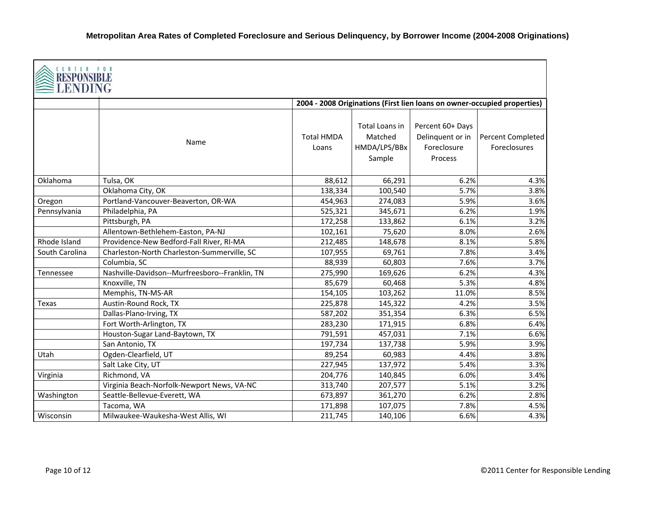| <b>CENTER FOR</b><br>RESPONSIB<br>LENDING |                                                |                            |                                                     |                                                                          |                                   |
|-------------------------------------------|------------------------------------------------|----------------------------|-----------------------------------------------------|--------------------------------------------------------------------------|-----------------------------------|
|                                           |                                                |                            |                                                     | 2004 - 2008 Originations (First lien loans on owner-occupied properties) |                                   |
|                                           | Name                                           | <b>Total HMDA</b><br>Loans | Total Loans in<br>Matched<br>HMDA/LPS/BBx<br>Sample | Percent 60+ Days<br>Delinquent or in<br>Foreclosure<br>Process           | Percent Completed<br>Foreclosures |
| Oklahoma                                  | Tulsa, OK                                      | 88,612                     | 66,291                                              | 6.2%                                                                     | 4.3%                              |
|                                           | Oklahoma City, OK                              | 138,334                    | 100,540                                             | 5.7%                                                                     | 3.8%                              |
| Oregon                                    | Portland-Vancouver-Beaverton, OR-WA            | 454,963                    | 274,083                                             | 5.9%                                                                     | 3.6%                              |
| Pennsylvania                              | Philadelphia, PA                               | 525,321                    | 345,671                                             | 6.2%                                                                     | 1.9%                              |
|                                           | Pittsburgh, PA                                 | 172,258                    | 133,862                                             | 6.1%                                                                     | 3.2%                              |
|                                           | Allentown-Bethlehem-Easton, PA-NJ              | 102,161                    | 75,620                                              | 8.0%                                                                     | 2.6%                              |
| Rhode Island                              | Providence-New Bedford-Fall River, RI-MA       | 212,485                    | 148,678                                             | 8.1%                                                                     | 5.8%                              |
| South Carolina                            | Charleston-North Charleston-Summerville, SC    | 107,955                    | 69,761                                              | 7.8%                                                                     | 3.4%                              |
|                                           | Columbia, SC                                   | 88,939                     | 60,803                                              | 7.6%                                                                     | 3.7%                              |
| <b>Tennessee</b>                          | Nashville-Davidson--Murfreesboro--Franklin, TN | 275,990                    | 169,626                                             | 6.2%                                                                     | 4.3%                              |
|                                           | Knoxville, TN                                  | 85,679                     | 60,468                                              | 5.3%                                                                     | 4.8%                              |
|                                           | Memphis, TN-MS-AR                              | 154,105                    | 103,262                                             | 11.0%                                                                    | 8.5%                              |
| Texas                                     | Austin-Round Rock, TX                          | 225,878                    | 145,322                                             | 4.2%                                                                     | 3.5%                              |
|                                           | Dallas-Plano-Irving, TX                        | 587,202                    | 351,354                                             | 6.3%                                                                     | 6.5%                              |
|                                           | Fort Worth-Arlington, TX                       | 283,230                    | 171,915                                             | 6.8%                                                                     | 6.4%                              |
|                                           | Houston-Sugar Land-Baytown, TX                 | 791,591                    | 457,031                                             | 7.1%                                                                     | 6.6%                              |
|                                           | San Antonio, TX                                | 197,734                    | 137,738                                             | 5.9%                                                                     | 3.9%                              |
| Utah                                      | Ogden-Clearfield, UT                           | 89,254                     | 60,983                                              | 4.4%                                                                     | 3.8%                              |
|                                           | Salt Lake City, UT                             | 227,945                    | 137,972                                             | 5.4%                                                                     | 3.3%                              |
| Virginia                                  | Richmond, VA                                   | 204,776                    | 140,845                                             | 6.0%                                                                     | 3.4%                              |
|                                           | Virginia Beach-Norfolk-Newport News, VA-NC     | 313,740                    | 207,577                                             | 5.1%                                                                     | 3.2%                              |
| Washington                                | Seattle-Bellevue-Everett, WA                   | 673,897                    | 361,270                                             | 6.2%                                                                     | 2.8%                              |
|                                           | Tacoma, WA                                     | 171,898                    | 107,075                                             | 7.8%                                                                     | 4.5%                              |
| Wisconsin                                 | Milwaukee-Waukesha-West Allis, WI              | 211,745                    | 140,106                                             | 6.6%                                                                     | 4.3%                              |

Г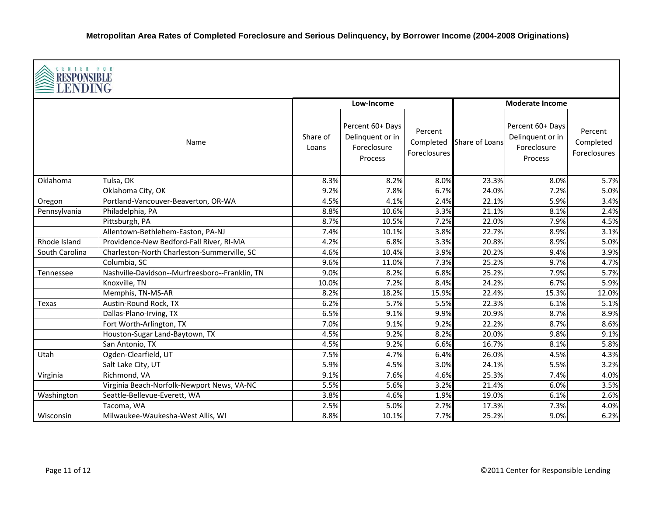|                | CENTER FOR<br><b>RESPONSIBLE</b><br><b>≧LENDING</b> |                   |                                                                |                                      |                |                                                                |                                      |  |  |
|----------------|-----------------------------------------------------|-------------------|----------------------------------------------------------------|--------------------------------------|----------------|----------------------------------------------------------------|--------------------------------------|--|--|
|                |                                                     |                   | Low-Income                                                     |                                      |                | <b>Moderate Income</b>                                         |                                      |  |  |
|                | Name                                                | Share of<br>Loans | Percent 60+ Days<br>Delinquent or in<br>Foreclosure<br>Process | Percent<br>Completed<br>Foreclosures | Share of Loans | Percent 60+ Days<br>Delinquent or in<br>Foreclosure<br>Process | Percent<br>Completed<br>Foreclosures |  |  |
| Oklahoma       | Tulsa, OK                                           | 8.3%              | 8.2%                                                           | 8.0%                                 | 23.3%          | 8.0%                                                           | 5.7%                                 |  |  |
|                | Oklahoma City, OK                                   | 9.2%              | 7.8%                                                           | 6.7%                                 | 24.0%          | 7.2%                                                           | 5.0%                                 |  |  |
| Oregon         | Portland-Vancouver-Beaverton, OR-WA                 | 4.5%              | 4.1%                                                           | 2.4%                                 | 22.1%          | 5.9%                                                           | 3.4%                                 |  |  |
| Pennsylvania   | Philadelphia, PA                                    | 8.8%              | 10.6%                                                          | 3.3%                                 | 21.1%          | 8.1%                                                           | 2.4%                                 |  |  |
|                | Pittsburgh, PA                                      | 8.7%              | 10.5%                                                          | 7.2%                                 | 22.0%          | 7.9%                                                           | 4.5%                                 |  |  |
|                | Allentown-Bethlehem-Easton, PA-NJ                   | 7.4%              | 10.1%                                                          | 3.8%                                 | 22.7%          | 8.9%                                                           | 3.1%                                 |  |  |
| Rhode Island   | Providence-New Bedford-Fall River, RI-MA            | 4.2%              | 6.8%                                                           | 3.3%                                 | 20.8%          | 8.9%                                                           | 5.0%                                 |  |  |
| South Carolina | Charleston-North Charleston-Summerville, SC         | 4.6%              | 10.4%                                                          | 3.9%                                 | 20.2%          | 9.4%                                                           | 3.9%                                 |  |  |
|                | Columbia, SC                                        | 9.6%              | 11.0%                                                          | 7.3%                                 | 25.2%          | 9.7%                                                           | 4.7%                                 |  |  |
| Tennessee      | Nashville-Davidson--Murfreesboro--Franklin, TN      | 9.0%              | 8.2%                                                           | 6.8%                                 | 25.2%          | 7.9%                                                           | 5.7%                                 |  |  |
|                | Knoxville, TN                                       | 10.0%             | 7.2%                                                           | 8.4%                                 | 24.2%          | 6.7%                                                           | 5.9%                                 |  |  |
|                | Memphis, TN-MS-AR                                   | 8.2%              | 18.2%                                                          | 15.9%                                | 22.4%          | 15.3%                                                          | 12.0%                                |  |  |
| Texas          | Austin-Round Rock, TX                               | 6.2%              | 5.7%                                                           | 5.5%                                 | 22.3%          | 6.1%                                                           | 5.1%                                 |  |  |
|                | Dallas-Plano-Irving, TX                             | 6.5%              | 9.1%                                                           | 9.9%                                 | 20.9%          | 8.7%                                                           | 8.9%                                 |  |  |
|                | Fort Worth-Arlington, TX                            | 7.0%              | 9.1%                                                           | 9.2%                                 | 22.2%          | 8.7%                                                           | 8.6%                                 |  |  |
|                | Houston-Sugar Land-Baytown, TX                      | 4.5%              | 9.2%                                                           | 8.2%                                 | 20.0%          | 9.8%                                                           | 9.1%                                 |  |  |
|                | San Antonio, TX                                     | 4.5%              | 9.2%                                                           | 6.6%                                 | 16.7%          | 8.1%                                                           | 5.8%                                 |  |  |
| Utah           | Ogden-Clearfield, UT                                | 7.5%              | 4.7%                                                           | 6.4%                                 | 26.0%          | 4.5%                                                           | 4.3%                                 |  |  |
|                | Salt Lake City, UT                                  | 5.9%              | 4.5%                                                           | 3.0%                                 | 24.1%          | 5.5%                                                           | 3.2%                                 |  |  |
| Virginia       | Richmond, VA                                        | 9.1%              | 7.6%                                                           | 4.6%                                 | 25.3%          | 7.4%                                                           | 4.0%                                 |  |  |
|                | Virginia Beach-Norfolk-Newport News, VA-NC          | 5.5%              | 5.6%                                                           | 3.2%                                 | 21.4%          | 6.0%                                                           | 3.5%                                 |  |  |
| Washington     | Seattle-Bellevue-Everett, WA                        | 3.8%              | 4.6%                                                           | 1.9%                                 | 19.0%          | 6.1%                                                           | 2.6%                                 |  |  |
|                | Tacoma, WA                                          | 2.5%              | 5.0%                                                           | 2.7%                                 | 17.3%          | 7.3%                                                           | 4.0%                                 |  |  |
| Wisconsin      | Milwaukee-Waukesha-West Allis, WI                   | 8.8%              | 10.1%                                                          | 7.7%                                 | 25.2%          | 9.0%                                                           | 6.2%                                 |  |  |